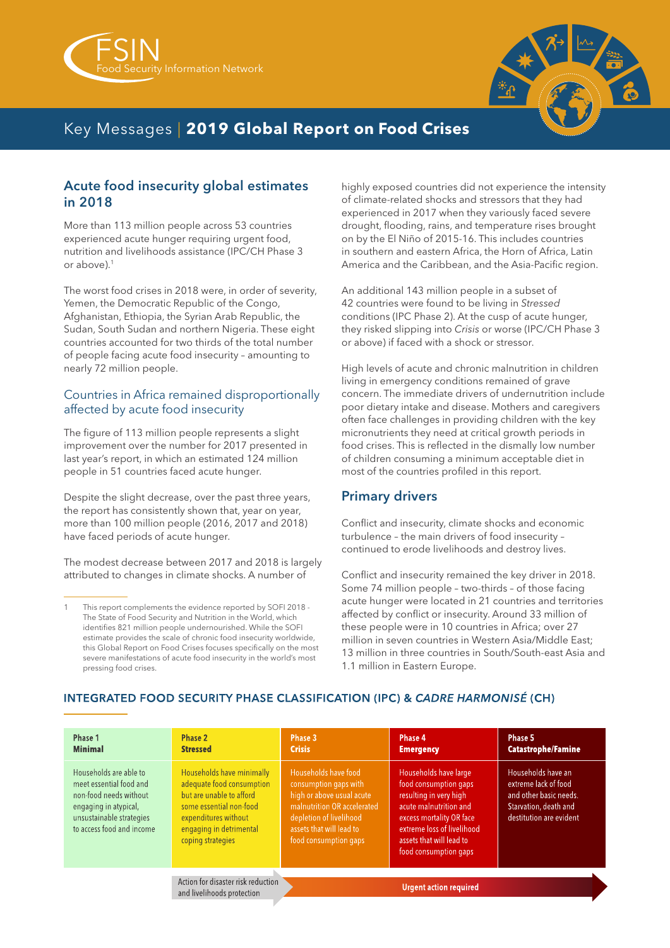



## Key Messages | **2019 Global Report on Food Crises**

#### Acute food insecurity global estimates in 2018

More than 113 million people across 53 countries experienced acute hunger requiring urgent food, nutrition and livelihoods assistance (IPC/CH Phase 3 or above).1

The worst food crises in 2018 were, in order of severity, Yemen, the Democratic Republic of the Congo, Afghanistan, Ethiopia, the Syrian Arab Republic, the Sudan, South Sudan and northern Nigeria. These eight countries accounted for two thirds of the total number of people facing acute food insecurity – amounting to nearly 72 million people.

#### Countries in Africa remained disproportionally affected by acute food insecurity

The figure of 113 million people represents a slight improvement over the number for 2017 presented in last year's report, in which an estimated 124 million people in 51 countries faced acute hunger.

Despite the slight decrease, over the past three years, the report has consistently shown that, year on year, more than 100 million people (2016, 2017 and 2018) have faced periods of acute hunger.

The modest decrease between 2017 and 2018 is largely attributed to changes in climate shocks. A number of

highly exposed countries did not experience the intensity of climate-related shocks and stressors that they had experienced in 2017 when they variously faced severe drought, flooding, rains, and temperature rises brought on by the El Niño of 2015-16. This includes countries in southern and eastern Africa, the Horn of Africa, Latin America and the Caribbean, and the Asia-Pacific region.

An additional 143 million people in a subset of 42 countries were found to be living in *Stressed*  conditions (IPC Phase 2). At the cusp of acute hunger, they risked slipping into *Crisis* or worse (IPC/CH Phase 3 or above) if faced with a shock or stressor.

High levels of acute and chronic malnutrition in children living in emergency conditions remained of grave concern. The immediate drivers of undernutrition include poor dietary intake and disease. Mothers and caregivers often face challenges in providing children with the key micronutrients they need at critical growth periods in food crises. This is reflected in the dismally low number of children consuming a minimum acceptable diet in most of the countries profiled in this report.

### Primary drivers

Conflict and insecurity, climate shocks and economic turbulence – the main drivers of food insecurity – continued to erode livelihoods and destroy lives.

Conflict and insecurity remained the key driver in 2018. Some 74 million people – two-thirds – of those facing acute hunger were located in 21 countries and territories affected by conflict or insecurity. Around 33 million of these people were in 10 countries in Africa; over 27 million in seven countries in Western Asia/Middle East; 13 million in three countries in South/South-east Asia and 1.1 million in Eastern Europe.

#### Phase 1 Phase 2 Phase 3 Phase 4 Phase 5 **Minimal Crisis Catastrophe/Famine Stressed Emergency** Households are able to Households have minimally Households have large Households have an meet essential food and adequate food consumption food consumption gaps extreme lack of food consumption gaps with high or above usual acute non-food needs without but are unable to afford resulting in very high and other basic needs. engaging in atypical, some essential non-food malnutrition OR accelerated acute malnutrition and Starvation, death and unsustainable strategies expenditures without depletion of livelihood excess mortality OR face destitution are evident assets that will lead to engaging in detrimental to access food and income extreme loss of livelihood coping strategies food consumption gaps assets that will lead to food consumption gaps Action for disaster risk reduction **Urgent action required** and livelihoods protection

#### **INTEGRATED FOOD SECURITY PHASE CLASSIFICATION (IPC) & CADRE HARMONISÉ (CH)**

<sup>1</sup> This report complements the evidence reported by SOFI 2018 - The State of Food Security and Nutrition in the World, which identifies 821 million people undernourished. While the SOFI estimate provides the scale of chronic food insecurity worldwide, this Global Report on Food Crises focuses specifically on the most severe manifestations of acute food insecurity in the world's most pressing food crises.